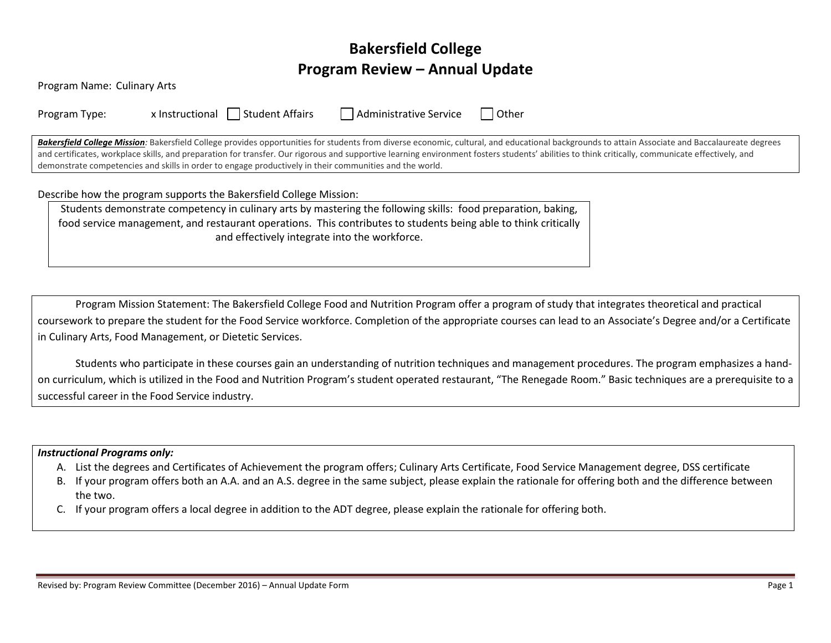# **Bakersfield College Program Review – Annual Update**

| Program Name: Culinary Arts |                                                                                                                 |                        |                                                                                                                                                                                                                                                                                                                                                                                                     |
|-----------------------------|-----------------------------------------------------------------------------------------------------------------|------------------------|-----------------------------------------------------------------------------------------------------------------------------------------------------------------------------------------------------------------------------------------------------------------------------------------------------------------------------------------------------------------------------------------------------|
| Program Type:               | x Instructional   Student Affairs                                                                               | Administrative Service | l l Other                                                                                                                                                                                                                                                                                                                                                                                           |
|                             | demonstrate competencies and skills in order to engage productively in their communities and the world.         |                        | Bakersfield College Mission: Bakersfield College provides opportunities for students from diverse economic, cultural, and educational backgrounds to attain Associate and Baccalaureate degrees<br>and certificates, workplace skills, and preparation for transfer. Our rigorous and supportive learning environment fosters students' abilities to think critically, communicate effectively, and |
|                             | Describe how the program supports the Bakersfield College Mission:                                              |                        |                                                                                                                                                                                                                                                                                                                                                                                                     |
|                             | Students demonstrate competency in culinary arts by mastering the following skills: food preparation, baking,   |                        |                                                                                                                                                                                                                                                                                                                                                                                                     |
|                             | food service management, and restaurant operations. This contributes to students being able to think critically |                        |                                                                                                                                                                                                                                                                                                                                                                                                     |
|                             | and effectively integrate into the workforce.                                                                   |                        |                                                                                                                                                                                                                                                                                                                                                                                                     |

Program Mission Statement: The Bakersfield College Food and Nutrition Program offer a program of study that integrates theoretical and practical coursework to prepare the student for the Food Service workforce. Completion of the appropriate courses can lead to an Associate's Degree and/or a Certificate in Culinary Arts, Food Management, or Dietetic Services.

Students who participate in these courses gain an understanding of nutrition techniques and management procedures. The program emphasizes a handon curriculum, which is utilized in the Food and Nutrition Program's student operated restaurant, "The Renegade Room." Basic techniques are a prerequisite to a successful career in the Food Service industry.

#### *Instructional Programs only:*

- A. List the degrees and Certificates of Achievement the program offers; Culinary Arts Certificate, Food Service Management degree, DSS certificate
- B. If your program offers both an A.A. and an A.S. degree in the same subject, please explain the rationale for offering both and the difference between the two.
- C. If your program offers a local degree in addition to the ADT degree, please explain the rationale for offering both.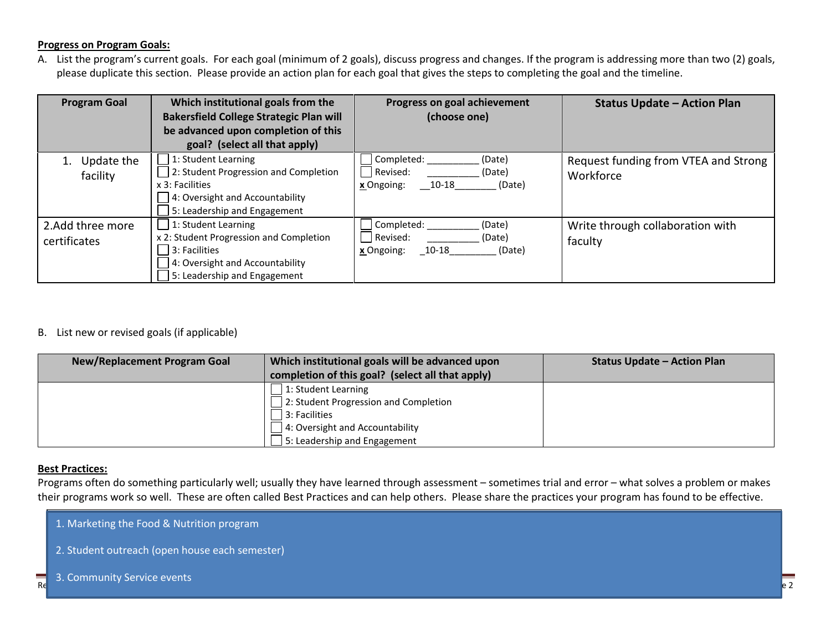#### **Progress on Program Goals:**

A. List the program's current goals. For each goal (minimum of 2 goals), discuss progress and changes. If the program is addressing more than two (2) goals, please duplicate this section. Please provide an action plan for each goal that gives the steps to completing the goal and the timeline.

| <b>Program Goal</b>              | Which institutional goals from the<br><b>Bakersfield College Strategic Plan will</b><br>be advanced upon completion of this<br>goal? (select all that apply) | Progress on goal achievement<br>(choose one)                                    | <b>Status Update - Action Plan</b>                |
|----------------------------------|--------------------------------------------------------------------------------------------------------------------------------------------------------------|---------------------------------------------------------------------------------|---------------------------------------------------|
| Update the<br>facility           | 1: Student Learning<br>2: Student Progression and Completion<br>x 3: Facilities<br>4: Oversight and Accountability<br>5: Leadership and Engagement           | Completed:<br>(Date)<br>Revised:<br>(Date)<br>10-18<br>(Date)<br>x Ongoing:     | Request funding from VTEA and Strong<br>Workforce |
| 2.Add three more<br>certificates | 1: Student Learning<br>x 2: Student Progression and Completion<br>3: Facilities<br>4: Oversight and Accountability<br>5: Leadership and Engagement           | Completed:<br>(Date)<br>Revised:<br>(Date)<br>$10 - 18$<br>x Ongoing:<br>(Date) | Write through collaboration with<br>faculty       |

## B. List new or revised goals (if applicable)

| <b>New/Replacement Program Goal</b> | Which institutional goals will be advanced upon<br>completion of this goal? (select all that apply) | <b>Status Update - Action Plan</b> |
|-------------------------------------|-----------------------------------------------------------------------------------------------------|------------------------------------|
|                                     | 1: Student Learning                                                                                 |                                    |
|                                     | 2: Student Progression and Completion                                                               |                                    |
|                                     | 3: Facilities                                                                                       |                                    |
|                                     | 4: Oversight and Accountability                                                                     |                                    |
|                                     | 5: Leadership and Engagement                                                                        |                                    |

#### **Best Practices:**

Programs often do something particularly well; usually they have learned through assessment – sometimes trial and error – what solves a problem or makes their programs work so well. These are often called Best Practices and can help others. Please share the practices your program has found to be effective.

- 1. Marketing the Food & Nutrition program
- 2. Student outreach (open house each semester)

#### Review  $\mathcal{P}$  , program Review Committee (December 2016) – Annual Update Form Page 2016) – Annual Update  $\mathsf{P}$ 3. Community Service events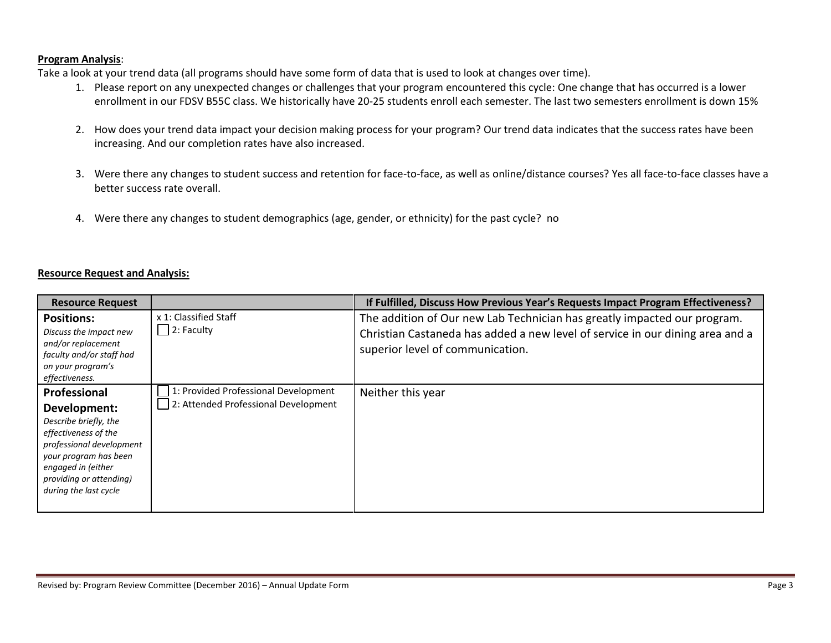### **Program Analysis**:

Take a look at your trend data (all programs should have some form of data that is used to look at changes over time).

- 1. Please report on any unexpected changes or challenges that your program encountered this cycle: One change that has occurred is a lower enrollment in our FDSV B55C class. We historically have 20-25 students enroll each semester. The last two semesters enrollment is down 15%
- 2. How does your trend data impact your decision making process for your program? Our trend data indicates that the success rates have been increasing. And our completion rates have also increased.
- 3. Were there any changes to student success and retention for face-to-face, as well as online/distance courses? Yes all face-to-face classes have a better success rate overall.
- 4. Were there any changes to student demographics (age, gender, or ethnicity) for the past cycle? no

### **Resource Request and Analysis:**

| <b>Resource Request</b>                                                                                                                                                                                      |                                                                              | If Fulfilled, Discuss How Previous Year's Requests Impact Program Effectiveness?                                                                                                              |
|--------------------------------------------------------------------------------------------------------------------------------------------------------------------------------------------------------------|------------------------------------------------------------------------------|-----------------------------------------------------------------------------------------------------------------------------------------------------------------------------------------------|
| <b>Positions:</b><br>Discuss the impact new<br>and/or replacement<br>faculty and/or staff had<br>on your program's<br>effectiveness.                                                                         | x 1: Classified Staff<br>2: Faculty                                          | The addition of Our new Lab Technician has greatly impacted our program.<br>Christian Castaneda has added a new level of service in our dining area and a<br>superior level of communication. |
| Professional<br>Development:<br>Describe briefly, the<br>effectiveness of the<br>professional development<br>your program has been<br>engaged in (either<br>providing or attending)<br>during the last cycle | 1: Provided Professional Development<br>2: Attended Professional Development | Neither this year                                                                                                                                                                             |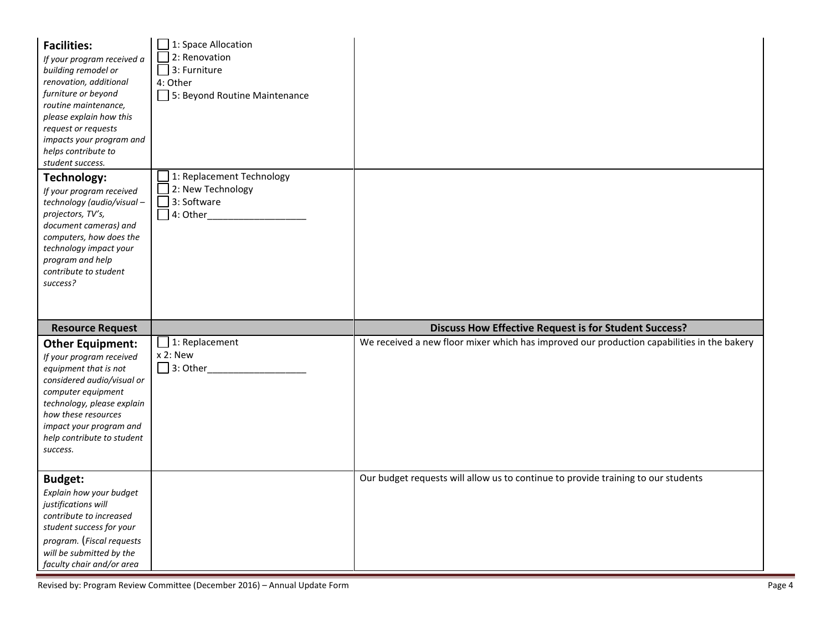| <b>Facilities:</b><br>If your program received a<br>building remodel or<br>renovation, additional<br>furniture or beyond<br>routine maintenance,<br>please explain how this<br>request or requests<br>impacts your program and<br>helps contribute to<br>student success. | $\Box$ 1: Space Allocation<br>$\Box$ 2: Renovation<br>$\Box$ 3: Furniture<br>4: Other<br>5: Beyond Routine Maintenance |                                                                                            |
|---------------------------------------------------------------------------------------------------------------------------------------------------------------------------------------------------------------------------------------------------------------------------|------------------------------------------------------------------------------------------------------------------------|--------------------------------------------------------------------------------------------|
| Technology:<br>If your program received<br>technology (audio/visual-<br>projectors, TV's,<br>document cameras) and<br>computers, how does the<br>technology impact your<br>program and help<br>contribute to student<br>success?                                          | 1: Replacement Technology<br>2: New Technology<br>$\Box$ 3: Software<br>$\Box$ 4: Other                                |                                                                                            |
| <b>Resource Request</b>                                                                                                                                                                                                                                                   |                                                                                                                        | <b>Discuss How Effective Request is for Student Success?</b>                               |
| <b>Other Equipment:</b><br>If your program received<br>equipment that is not<br>considered audio/visual or<br>computer equipment<br>technology, please explain<br>how these resources<br>impact your program and<br>help contribute to student<br>success.                | $\Box$ 1: Replacement<br>x 2: New                                                                                      | We received a new floor mixer which has improved our production capabilities in the bakery |
| <b>Budget:</b><br>Explain how your budget<br>justifications will<br>contribute to increased<br>student success for your<br>program. (Fiscal requests<br>will be submitted by the<br>faculty chair and/or area                                                             |                                                                                                                        | Our budget requests will allow us to continue to provide training to our students          |